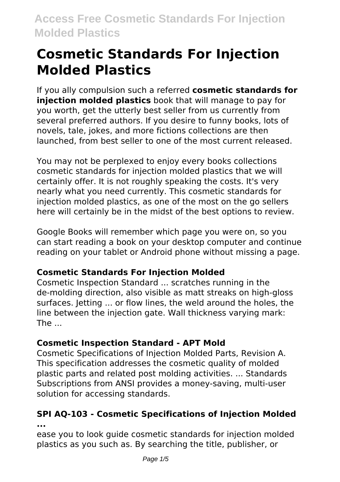# **Cosmetic Standards For Injection Molded Plastics**

If you ally compulsion such a referred **cosmetic standards for injection molded plastics** book that will manage to pay for you worth, get the utterly best seller from us currently from several preferred authors. If you desire to funny books, lots of novels, tale, jokes, and more fictions collections are then launched, from best seller to one of the most current released.

You may not be perplexed to enjoy every books collections cosmetic standards for injection molded plastics that we will certainly offer. It is not roughly speaking the costs. It's very nearly what you need currently. This cosmetic standards for injection molded plastics, as one of the most on the go sellers here will certainly be in the midst of the best options to review.

Google Books will remember which page you were on, so you can start reading a book on your desktop computer and continue reading on your tablet or Android phone without missing a page.

### **Cosmetic Standards For Injection Molded**

Cosmetic Inspection Standard ... scratches running in the de‐molding direction, also visible as matt streaks on high‐gloss surfaces. Jetting ... or flow lines, the weld around the holes, the line between the injection gate. Wall thickness varying mark: The  $\ldots$ 

### **Cosmetic Inspection Standard - APT Mold**

Cosmetic Specifications of Injection Molded Parts, Revision A. This specification addresses the cosmetic quality of molded plastic parts and related post molding activities. ... Standards Subscriptions from ANSI provides a money-saving, multi-user solution for accessing standards.

#### **SPI AQ-103 - Cosmetic Specifications of Injection Molded ...**

ease you to look guide cosmetic standards for injection molded plastics as you such as. By searching the title, publisher, or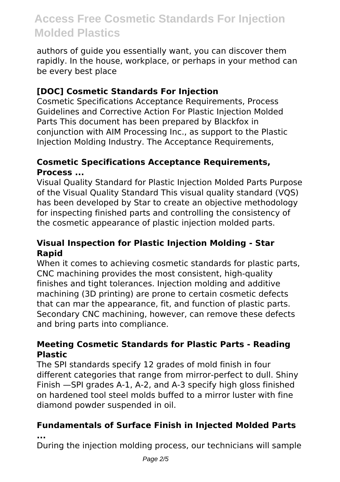authors of guide you essentially want, you can discover them rapidly. In the house, workplace, or perhaps in your method can be every best place

#### **[DOC] Cosmetic Standards For Injection**

Cosmetic Specifications Acceptance Requirements, Process Guidelines and Corrective Action For Plastic Injection Molded Parts This document has been prepared by Blackfox in conjunction with AIM Processing Inc., as support to the Plastic Injection Molding Industry. The Acceptance Requirements,

#### **Cosmetic Specifications Acceptance Requirements, Process ...**

Visual Quality Standard for Plastic Injection Molded Parts Purpose of the Visual Quality Standard This visual quality standard (VQS) has been developed by Star to create an objective methodology for inspecting finished parts and controlling the consistency of the cosmetic appearance of plastic injection molded parts.

#### **Visual Inspection for Plastic Injection Molding - Star Rapid**

When it comes to achieving cosmetic standards for plastic parts, CNC machining provides the most consistent, high-quality finishes and tight tolerances. Injection molding and additive machining (3D printing) are prone to certain cosmetic defects that can mar the appearance, fit, and function of plastic parts. Secondary CNC machining, however, can remove these defects and bring parts into compliance.

#### **Meeting Cosmetic Standards for Plastic Parts - Reading Plastic**

The SPI standards specify 12 grades of mold finish in four different categories that range from mirror-perfect to dull. Shiny Finish —SPI grades A-1, A-2, and A-3 specify high gloss finished on hardened tool steel molds buffed to a mirror luster with fine diamond powder suspended in oil.

### **Fundamentals of Surface Finish in Injected Molded Parts**

**...**

During the injection molding process, our technicians will sample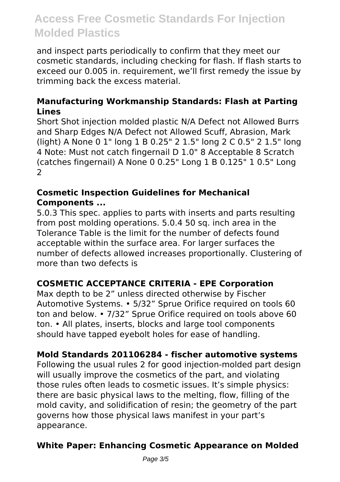and inspect parts periodically to confirm that they meet our cosmetic standards, including checking for flash. If flash starts to exceed our 0.005 in. requirement, we'll first remedy the issue by trimming back the excess material.

#### **Manufacturing Workmanship Standards: Flash at Parting Lines**

Short Shot injection molded plastic N/A Defect not Allowed Burrs and Sharp Edges N/A Defect not Allowed Scuff, Abrasion, Mark (light) A None 0 1" long 1 B 0.25" 2 1.5" long 2 C 0.5" 2 1.5" long 4 Note: Must not catch fingernail D 1.0" 8 Acceptable 8 Scratch (catches fingernail) A None 0 0.25" Long 1 B 0.125" 1 0.5" Long 2

#### **Cosmetic Inspection Guidelines for Mechanical Components ...**

5.0.3 This spec. applies to parts with inserts and parts resulting from post molding operations. 5.0.4 50 sq. inch area in the Tolerance Table is the limit for the number of defects found acceptable within the surface area. For larger surfaces the number of defects allowed increases proportionally. Clustering of more than two defects is

#### **COSMETIC ACCEPTANCE CRITERIA - EPE Corporation**

Max depth to be 2" unless directed otherwise by Fischer Automotive Systems. • 5/32" Sprue Orifice required on tools 60 ton and below. • 7/32" Sprue Orifice required on tools above 60 ton. • All plates, inserts, blocks and large tool components should have tapped eyebolt holes for ease of handling.

#### **Mold Standards 201106284 - fischer automotive systems**

Following the usual rules 2 for good injection-molded part design will usually improve the cosmetics of the part, and violating those rules often leads to cosmetic issues. It's simple physics: there are basic physical laws to the melting, flow, filling of the mold cavity, and solidification of resin; the geometry of the part governs how those physical laws manifest in your part's appearance.

#### **White Paper: Enhancing Cosmetic Appearance on Molded**